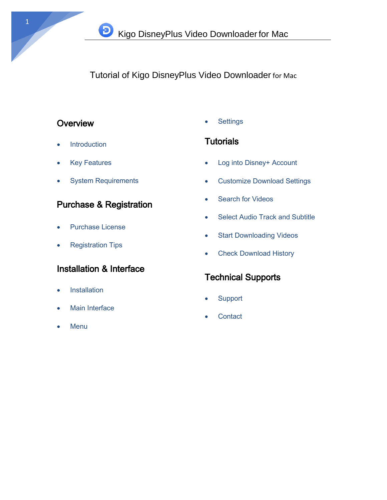# Tutorial of Kigo DisneyPlus Video Downloader for Mac

# **Overview**

- Introduction
- Key Features
- System Requirements

# Purchase & Registration

- Purchase License
- Registration Tips

# Installation & Interface

- Installation
- Main Interface
- Menu

**Settings** 

# **Tutorials**

- Log into Disney+ Account
- Customize Download Settings
- Search for Videos
- Select Audio Track and Subtitle
- Start Downloading Videos
- Check Download History

# Technical Supports

- **Support**
- **Contact**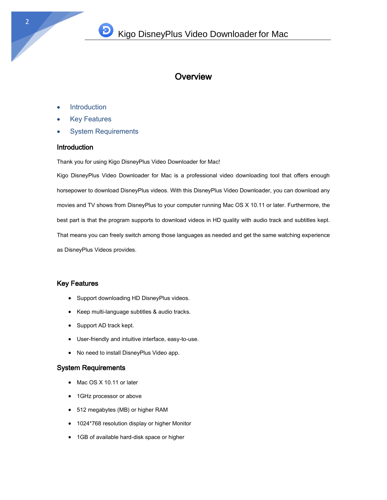## **Overview**

- **Introduction**
- Key Features
- System Requirements

#### **Introduction**

Thank you for using Kigo DisneyPlus Video Downloader for Mac!

Kigo DisneyPlus Video Downloader for Mac is a professional video downloading tool that offers enough horsepower to download DisneyPlus videos. With this DisneyPlus Video Downloader, you can download any movies and TV shows from DisneyPlus to your computer running Mac OS X 10.11 or later. Furthermore, the best part is that the program supports to download videos in HD quality with audio track and subtitles kept. That means you can freely switch among those languages as needed and get the same watching experience as DisneyPlus Videos provides.

### Key Features

- Support downloading HD DisneyPlus videos.
- Keep multi-language subtitles & audio tracks.
- Support AD track kept.
- User-friendly and intuitive interface, easy-to-use.
- No need to install DisneyPlus Video app.

#### System Requirements

- Mac OS X 10.11 or later
- 1GHz processor or above
- 512 megabytes (MB) or higher RAM
- 1024\*768 resolution display or higher Monitor
- 1GB of available hard-disk space or higher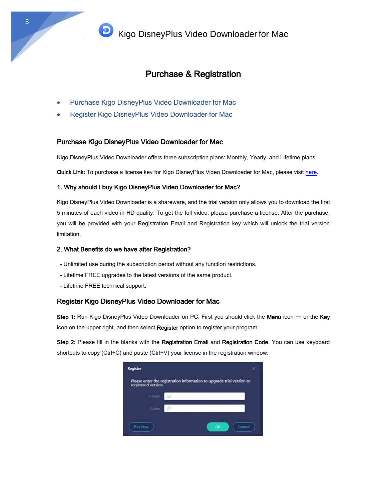# Purchase & Registration

- Purchase Kigo DisneyPlus Video Downloader for Mac
- Register Kigo DisneyPlus Video Downloader for Mac

### Purchase Kigo DisneyPlus Video Downloader for Mac

Kigo DisneyPlus Video Downloader offers three subscription plans: Monthly, Yearly, and Lifetime plans.

Quick Link: To purchase a license key for Kigo DisneyPlus Video Downloader for Mac, please visit here.

### 1. Why should I buy Kigo DisneyPlus Video Downloader for Mac?

Kigo DisneyPlus Video Downloader is a shareware, and the trial version only allows you to download the first 5 minutes of each video in HD quality. To get the full video, please purchase a license. After the purchase, you will be provided with your Registration Email and Registration key which will unlock the trial version limitation.

#### 2. What Benefits do we have after Registration?

- Unlimited use during the subscription period without any function restrictions.
- Lifetime FREE upgrades to the latest versions of the same product.
- Lifetime FREE technical support.

### Register Kigo DisneyPlus Video Downloader for Mac

Step 1: Run Kigo DisneyPlus Video Downloader on PC. First you should click the Menu icon  $\equiv$  or the Key icon on the upper right, and then select Register option to register your program.

Step 2: Please fill in the blanks with the Registration Email and Registration Code. You can use keyboard shortcuts to copy (Ctrl+C) and paste (Ctrl+V) your license in the registration window.

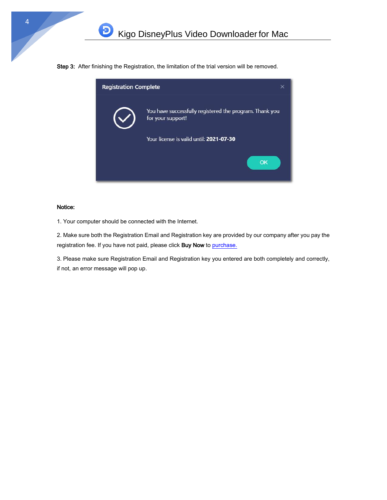Step 3: After finishing the Registration, the limitation of the trial version will be removed.



#### Notice:

1. Your computer should be connected with the Internet.

2. Make sure both the Registration Email and Registration key are provided by our company after you pay the registration fee. If you have not paid, please click Buy Now t[o purchase.](https://www.kigo-video-converter.com/disneyplus-video-downloader/order.html)

3. Please make sure Registration Email and Registration key you entered are both completely and correctly, if not, an error message will pop up.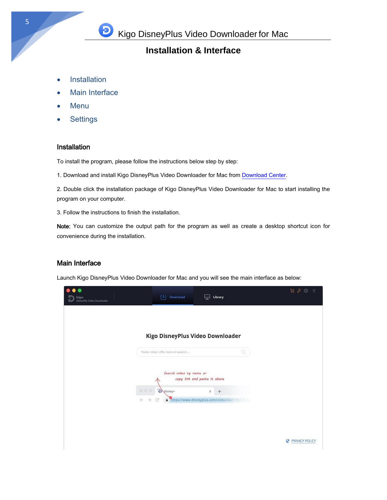

## **Installation & Interface**

- **•** Installation
- Main Interface
- Menu
- **•** Settings

### **Installation**

To install the program, please follow the instructions below step by step:

1. Download and install Kigo DisneyPlus Video Downloader for Mac fro[m Download Center.](https://www.kigo-video-converter.com/downloads.html)

2. Double click the installation package of Kigo DisneyPlus Video Downloader for Mac to start installing the program on your computer.

3. Follow the instructions to finish the installation.

Note: You can customize the output path for the program as well as create a desktop shortcut icon for convenience during the installation.

### Main Interface

Launch Kigo DisneyPlus Video Downloader for Mac and you will see the main interface as below:

| $\bullet$<br>kigo<br>DisneyPlus Video Downloader | 围<br>Download<br>뉴                                                                                                  | Library | $R \ntriangle \ntriangle \ntriangle \nexists$ |
|--------------------------------------------------|---------------------------------------------------------------------------------------------------------------------|---------|-----------------------------------------------|
|                                                  | Kigo DisneyPlus Video Downloader<br>Paste video URL here or search                                                  | Q       |                                               |
|                                                  | Search video by name or<br>copy link and paste it above                                                             |         |                                               |
|                                                  | Disney+<br><b>BOG</b><br>×<br>https://www.disneyplus.com/video/42c119cf-8572-<br>$\leftarrow$<br>$\rightarrow$<br>C | $+$     |                                               |
|                                                  |                                                                                                                     |         | <b>PRIVACY POLICY</b>                         |

5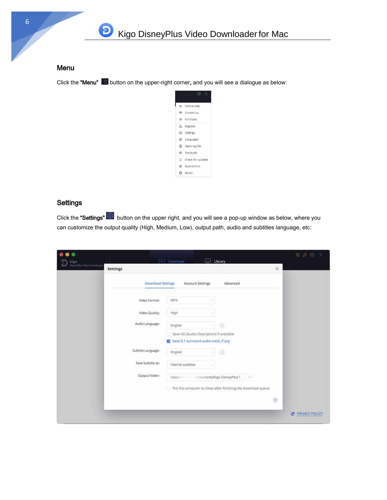

### Menu

Click the "Menu"  $\blacksquare$  button on the upper-right corner, and you will see a dialogue as below:



### **Settings**

Click the "Settings" button on the upper right, and you will see a pop-up window as below, where you can customize the output quality (High, Medium, Low), output path, audio and subtitles language, etc:

| $\times$<br>Settings<br><b>Download Settings</b><br><b>Account Settings</b><br>Advanced<br>MP4<br>Video Format:<br>Video Quality:<br>High<br>Audio Language:<br>$^\circledR$<br>English<br>Save AD (Audio Description) if avaliable<br>Save 5.1 surround audio track, if any<br>Subtitle Language:<br>$\odot$<br>English<br>-20<br>Save Subtitle as:<br>Internal subtities<br>Output Folder:<br>Cocuments/Kigo DisneyPlus \<br>/User:<br>111<br>Put the computer to sleep after finishing the download queue<br>$\phi$ | <b>kigo</b><br>Donnflis Veleo Downloader |  | $\lceil \frac{1}{2} \rceil$ Download | Library |   | F P<br>Ξ<br>13        |
|------------------------------------------------------------------------------------------------------------------------------------------------------------------------------------------------------------------------------------------------------------------------------------------------------------------------------------------------------------------------------------------------------------------------------------------------------------------------------------------------------------------------|------------------------------------------|--|--------------------------------------|---------|---|-----------------------|
|                                                                                                                                                                                                                                                                                                                                                                                                                                                                                                                        |                                          |  |                                      |         |   |                       |
|                                                                                                                                                                                                                                                                                                                                                                                                                                                                                                                        |                                          |  |                                      |         |   |                       |
|                                                                                                                                                                                                                                                                                                                                                                                                                                                                                                                        |                                          |  |                                      |         |   |                       |
|                                                                                                                                                                                                                                                                                                                                                                                                                                                                                                                        |                                          |  |                                      |         |   |                       |
|                                                                                                                                                                                                                                                                                                                                                                                                                                                                                                                        |                                          |  |                                      |         |   |                       |
|                                                                                                                                                                                                                                                                                                                                                                                                                                                                                                                        |                                          |  |                                      |         |   |                       |
|                                                                                                                                                                                                                                                                                                                                                                                                                                                                                                                        |                                          |  |                                      |         |   |                       |
|                                                                                                                                                                                                                                                                                                                                                                                                                                                                                                                        |                                          |  |                                      |         |   |                       |
|                                                                                                                                                                                                                                                                                                                                                                                                                                                                                                                        |                                          |  |                                      |         |   |                       |
|                                                                                                                                                                                                                                                                                                                                                                                                                                                                                                                        |                                          |  |                                      |         |   |                       |
|                                                                                                                                                                                                                                                                                                                                                                                                                                                                                                                        |                                          |  |                                      |         |   |                       |
|                                                                                                                                                                                                                                                                                                                                                                                                                                                                                                                        |                                          |  |                                      |         | ø | <b>PRIVACY POLICY</b> |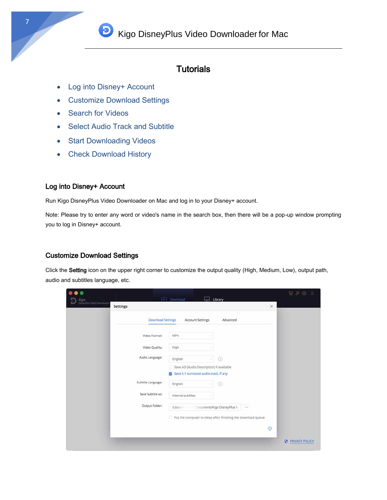**D** Kigo DisneyPlus Video Downloader for Mac

## **Tutorials**

- Log into Disney+ Account
- Customize Download Settings
- Search for Videos

7

- Select Audio Track and Subtitle
- Start Downloading Videos
- Check Download History

### Log into Disney+ Account

Run Kigo DisneyPlus Video Downloader on Mac and log in to your Disney+ account.

Note: Please try to enter any word or video's name in the search box, then there will be a pop-up window prompting you to log in Disney+ account.

### Customize Download Settings

Click the Setting icon on the upper right corner to customize the output quality (High, Medium, Low), output path, audio and subtitles language, etc.

| .<br><b>kigo</b><br>Donnélis Véles Douclassie |                          | [4] Download       | Library                                                                           | P P Q<br>$\equiv$          |  |
|-----------------------------------------------|--------------------------|--------------------|-----------------------------------------------------------------------------------|----------------------------|--|
|                                               | Settings                 |                    |                                                                                   | ×                          |  |
|                                               | <b>Download Settings</b> |                    |                                                                                   |                            |  |
|                                               | Video Format:            | MP4                |                                                                                   |                            |  |
|                                               | Video Quality:           | High               |                                                                                   |                            |  |
|                                               | Audio Language:          | English            | $^\circledR$<br>- 1                                                               |                            |  |
|                                               |                          | æ.                 | Save AD (Audio Description) if avaliable<br>Save 5.1 surround audio track, if any |                            |  |
|                                               | Subtitle Language:       | English            | $^{\circ}$                                                                        |                            |  |
|                                               | Save Subtitle as:        | Internal subtities | v                                                                                 |                            |  |
|                                               | Output Folder:           | /User:/            | Documents/Kigo DisneyPlus \<br>$\cdots$                                           |                            |  |
|                                               |                          |                    | Put the computer to sleep after finishing the download queue                      |                            |  |
|                                               |                          |                    |                                                                                   | $\phi$                     |  |
|                                               |                          |                    |                                                                                   | <b>PRIVACY POLICY</b><br>ø |  |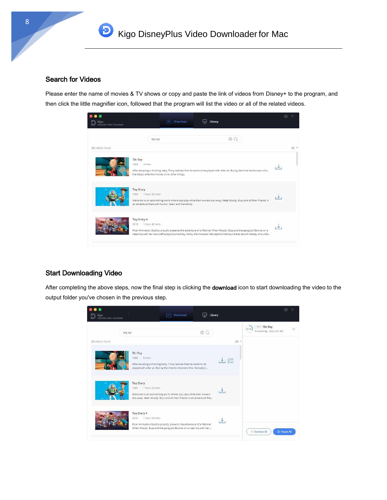### Search for Videos

Please enter the name of movies & TV shows or copy and paste the link of videos from Disney+ to the program, and then click the little magnifier icon, followed that the program will list the video or all of the related videos.



### Start Downloading Video

After completing the above steps, now the final step is clicking the download icon to start downloading the video to the output folder you've chosen in the previous step.

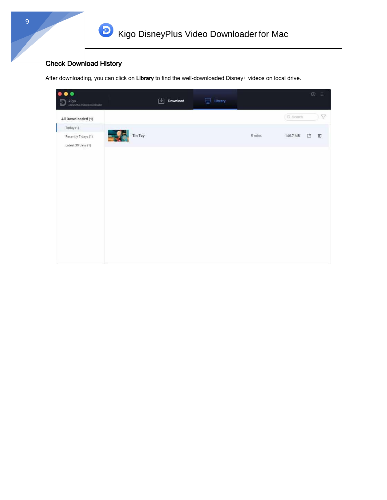## Check Download History

After downloading, you can click on Library to find the well-downloaded Disney+ videos on local drive.